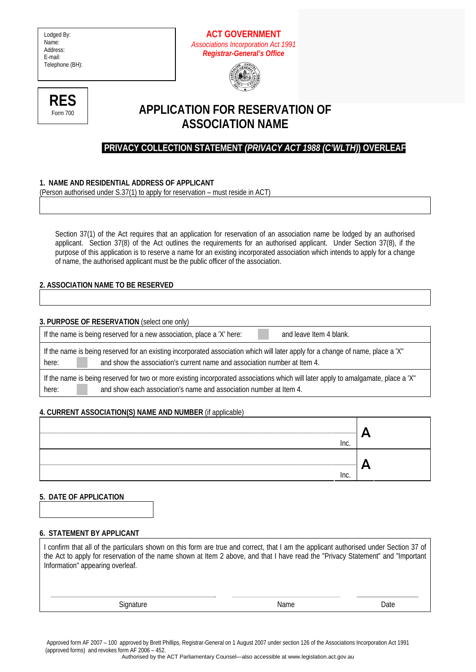Lodged By: Name: Address: E-mail: Telephone (BH):







# **APPLICATION FOR RESERVATION OF ASSOCIATION NAME**

## **PRIVACY COLLECTION STATEMENT** *(PRIVACY ACT 1988 (C'WLTH)***) OVERLEAF**

## **1. NAME AND RESIDENTIAL ADDRESS OF APPLICANT**

(Person authorised under S.37(1) to apply for reservation – must reside in ACT)

Section 37(1) of the Act requires that an application for reservation of an association name be lodged by an authorised applicant. Section 37(8) of the Act outlines the requirements for an authorised applicant. Under Section 37(8), if the purpose of this application is to reserve a name for an existing incorporated association which intends to apply for a change of name, the authorised applicant must be the public officer of the association.

## **2. ASSOCIATION NAME TO BE RESERVED**

**3. PURPOSE OF RESERVATION** (select one only)

If the name is being reserved for a new association, place a 'X' here: and leave Item 4 blank.

If the name is being reserved for an existing incorporated association which will later apply for a change of name, place a 'X" here: and show the association's current name and association number at Item 4.

If the name is being reserved for two or more existing incorporated associations which will later apply to amalgamate, place a 'X" here: and show each association's name and association number at Item 4.

### **4. CURRENT ASSOCIATION(S) NAME AND NUMBER** (if applicable)

| Inc. |     |
|------|-----|
| Inc. | . . |

### **5. DATE OF APPLICATION**

### **6. STATEMENT BY APPLICANT**

I confirm that all of the particulars shown on this form are true and correct, that I am the applicant authorised under Section 37 of the Act to apply for reservation of the name shown at Item 2 above, and that I have read the "Privacy Statement" and "Important Information" appearing overleaf. Signature Date **Name Name Date** 

 Approved form AF 2007 – 100 approved by Brett Phillips, Registrar-General on 1 August 2007 under section 126 of the Associations Incorporation Act 1991 (approved forms) and revokes form AF 2006 – 452.

Authorised by the ACT Parliamentary Counsel—also accessible at www.legislation.act.gov.au